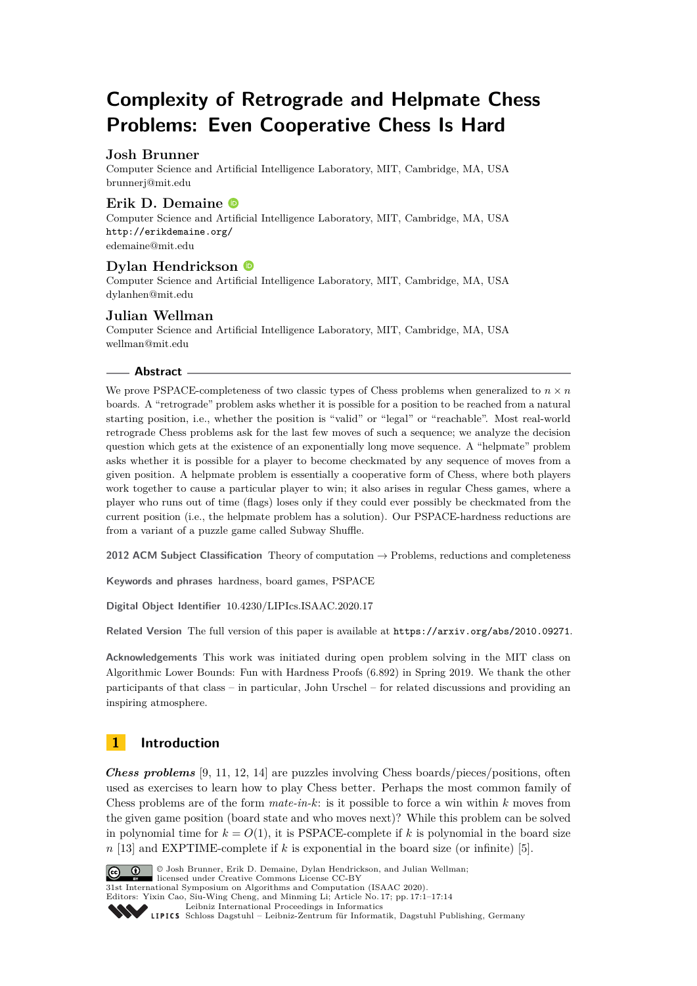# **Complexity of Retrograde and Helpmate Chess Problems: Even Cooperative Chess Is Hard**

# **Josh Brunner**

Computer Science and Artificial Intelligence Laboratory, MIT, Cambridge, MA, USA [brunnerj@mit.edu](mailto:brunnerj@mit.edu)

# **Erik D. Demaine**

Computer Science and Artificial Intelligence Laboratory, MIT, Cambridge, MA, USA <http://erikdemaine.org/> [edemaine@mit.edu](mailto:edemaine@mit.edu)

# **Dylan Hendrickson**

Computer Science and Artificial Intelligence Laboratory, MIT, Cambridge, MA, USA [dylanhen@mit.edu](mailto:dylanhen@mit.edu)

# **Julian Wellman**

Computer Science and Artificial Intelligence Laboratory, MIT, Cambridge, MA, USA [wellman@mit.edu](mailto:wellman@mit.edu)

#### **Abstract**

We prove PSPACE-completeness of two classic types of Chess problems when generalized to  $n \times n$ boards. A "retrograde" problem asks whether it is possible for a position to be reached from a natural starting position, i.e., whether the position is "valid" or "legal" or "reachable". Most real-world retrograde Chess problems ask for the last few moves of such a sequence; we analyze the decision question which gets at the existence of an exponentially long move sequence. A "helpmate" problem asks whether it is possible for a player to become checkmated by any sequence of moves from a given position. A helpmate problem is essentially a cooperative form of Chess, where both players work together to cause a particular player to win; it also arises in regular Chess games, where a player who runs out of time (flags) loses only if they could ever possibly be checkmated from the current position (i.e., the helpmate problem has a solution). Our PSPACE-hardness reductions are from a variant of a puzzle game called Subway Shuffle.

**2012 ACM Subject Classification** Theory of computation → Problems, reductions and completeness

**Keywords and phrases** hardness, board games, PSPACE

**Digital Object Identifier** [10.4230/LIPIcs.ISAAC.2020.17](https://doi.org/10.4230/LIPIcs.ISAAC.2020.17)

Related Version The full version of this paper is available at <https://arxiv.org/abs/2010.09271>.

**Acknowledgements** This work was initiated during open problem solving in the MIT class on Algorithmic Lower Bounds: Fun with Hardness Proofs (6.892) in Spring 2019. We thank the other participants of that class – in particular, John Urschel – for related discussions and providing an inspiring atmosphere.

# **1 Introduction**

*Chess problems* [\[9,](#page-13-0) [11,](#page-13-1) [12,](#page-13-2) [14\]](#page-13-3) are puzzles involving Chess boards/pieces/positions, often used as exercises to learn how to play Chess better. Perhaps the most common family of Chess problems are of the form *mate-in-k*: is it possible to force a win within *k* moves from the given game position (board state and who moves next)? While this problem can be solved in polynomial time for  $k = O(1)$ , it is PSPACE-complete if k is polynomial in the board size *n* [\[13\]](#page-13-4) and EXPTIME-complete if *k* is exponential in the board size (or infinite) [\[5\]](#page-13-5).



© Josh Brunner, Erik D. Demaine, Dylan Hendrickson, and Julian Wellman;

licensed under Creative Commons License CC-BY 31st International Symposium on Algorithms and Computation (ISAAC 2020).

Editors: Yixin Cao, Siu-Wing Cheng, and Minming Li; Article No. 17; pp. 17:1–17[:14](#page-13-6)

[Leibniz International Proceedings in Informatics](https://www.dagstuhl.de/lipics/)

[Schloss Dagstuhl – Leibniz-Zentrum für Informatik, Dagstuhl Publishing, Germany](https://www.dagstuhl.de)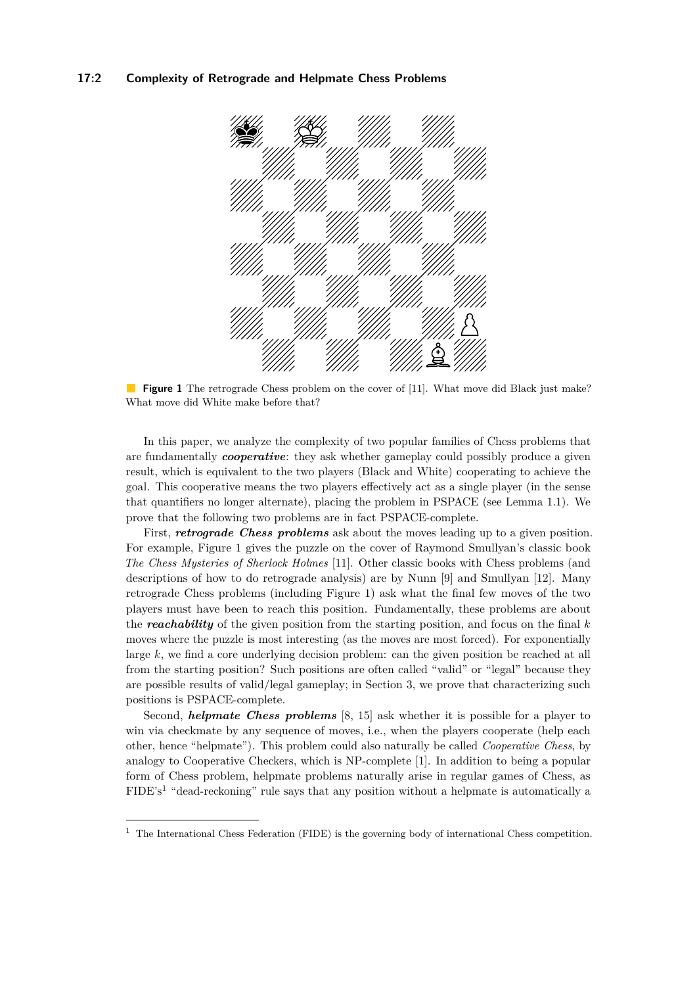#### <span id="page-1-0"></span>**17:2 Complexity of Retrograde and Helpmate Chess Problems**



**Figure 1** The retrograde Chess problem on the cover of [\[11\]](#page-13-1). What move did Black just make? What move did White make before that?

In this paper, we analyze the complexity of two popular families of Chess problems that are fundamentally *cooperative*: they ask whether gameplay could possibly produce a given result, which is equivalent to the two players (Black and White) cooperating to achieve the goal. This cooperative means the two players effectively act as a single player (in the sense that quantifiers no longer alternate), placing the problem in PSPACE (see Lemma [1.1\)](#page-2-0). We prove that the following two problems are in fact PSPACE-complete.

First, *retrograde Chess problems* ask about the moves leading up to a given position. For example, Figure [1](#page-1-0) gives the puzzle on the cover of Raymond Smullyan's classic book *The Chess Mysteries of Sherlock Holmes* [\[11\]](#page-13-1). Other classic books with Chess problems (and descriptions of how to do retrograde analysis) are by Nunn [\[9\]](#page-13-0) and Smullyan [\[12\]](#page-13-2). Many retrograde Chess problems (including Figure [1\)](#page-1-0) ask what the final few moves of the two players must have been to reach this position. Fundamentally, these problems are about the *reachability* of the given position from the starting position, and focus on the final *k* moves where the puzzle is most interesting (as the moves are most forced). For exponentially large *k*, we find a core underlying decision problem: can the given position be reached at all from the starting position? Such positions are often called "valid" or "legal" because they are possible results of valid/legal gameplay; in Section [3,](#page-7-0) we prove that characterizing such positions is PSPACE-complete.

Second, *helpmate Chess problems* [\[8,](#page-13-7) [15\]](#page-13-8) ask whether it is possible for a player to win via checkmate by any sequence of moves, i.e., when the players cooperate (help each other, hence "helpmate"). This problem could also naturally be called *Cooperative Chess*, by analogy to Cooperative Checkers, which is NP-complete [\[1\]](#page-13-9). In addition to being a popular form of Chess problem, helpmate problems naturally arise in regular games of Chess, as FIDE's<sup>[1](#page-1-1)</sup> "dead-reckoning" rule says that any position without a helpmate is automatically a

<span id="page-1-1"></span><sup>&</sup>lt;sup>1</sup> The International Chess Federation (FIDE) is the governing body of international Chess competition.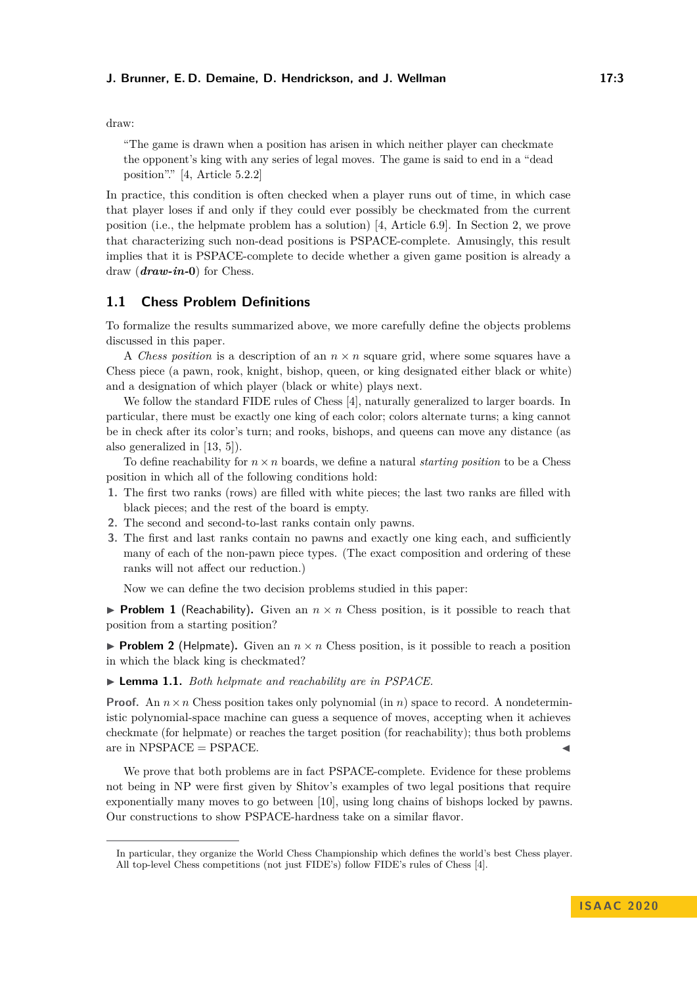#### **J. Brunner, E. D. Demaine, D. Hendrickson, and J. Wellman 17:3**

draw:

"The game is drawn when a position has arisen in which neither player can checkmate the opponent's king with any series of legal moves. The game is said to end in a "dead position"." [\[4,](#page-13-10) Article 5.2.2]

In practice, this condition is often checked when a player runs out of time, in which case that player loses if and only if they could ever possibly be checkmated from the current position (i.e., the helpmate problem has a solution) [\[4,](#page-13-10) Article 6.9]. In Section [2,](#page-3-0) we prove that characterizing such non-dead positions is PSPACE-complete. Amusingly, this result implies that it is PSPACE-complete to decide whether a given game position is already a draw (*draw-in-***0**) for Chess.

# **1.1 Chess Problem Definitions**

To formalize the results summarized above, we more carefully define the objects problems discussed in this paper.

A *Chess position* is a description of an  $n \times n$  square grid, where some squares have a Chess piece (a pawn, rook, knight, bishop, queen, or king designated either black or white) and a designation of which player (black or white) plays next.

We follow the standard FIDE rules of Chess [\[4\]](#page-13-10), naturally generalized to larger boards. In particular, there must be exactly one king of each color; colors alternate turns; a king cannot be in check after its color's turn; and rooks, bishops, and queens can move any distance (as also generalized in [\[13,](#page-13-4) [5\]](#page-13-5)).

To define reachability for  $n \times n$  boards, we define a natural *starting position* to be a Chess position in which all of the following conditions hold:

- **1.** The first two ranks (rows) are filled with white pieces; the last two ranks are filled with black pieces; and the rest of the board is empty.
- **2.** The second and second-to-last ranks contain only pawns.
- **3.** The first and last ranks contain no pawns and exactly one king each, and sufficiently many of each of the non-pawn piece types. (The exact composition and ordering of these ranks will not affect our reduction.)

Now we can define the two decision problems studied in this paper:

**Problem 1** (Reachability). Given an  $n \times n$  Chess position, is it possible to reach that position from a starting position?

**Problem 2** (Helpmate). Given an  $n \times n$  Chess position, is it possible to reach a position in which the black king is checkmated?

<span id="page-2-0"></span>▶ **Lemma 1.1.** *Both helpmate and reachability are in PSPACE.* 

**Proof.** An  $n \times n$  Chess position takes only polynomial (in *n*) space to record. A nondeterministic polynomial-space machine can guess a sequence of moves, accepting when it achieves checkmate (for helpmate) or reaches the target position (for reachability); thus both problems are in  $NPSPACE = PSPACE$ .

We prove that both problems are in fact PSPACE-complete. Evidence for these problems not being in NP were first given by Shitov's examples of two legal positions that require exponentially many moves to go between [\[10\]](#page-13-11), using long chains of bishops locked by pawns. Our constructions to show PSPACE-hardness take on a similar flavor.

In particular, they organize the World Chess Championship which defines the world's best Chess player. All top-level Chess competitions (not just FIDE's) follow FIDE's rules of Chess [\[4\]](#page-13-10).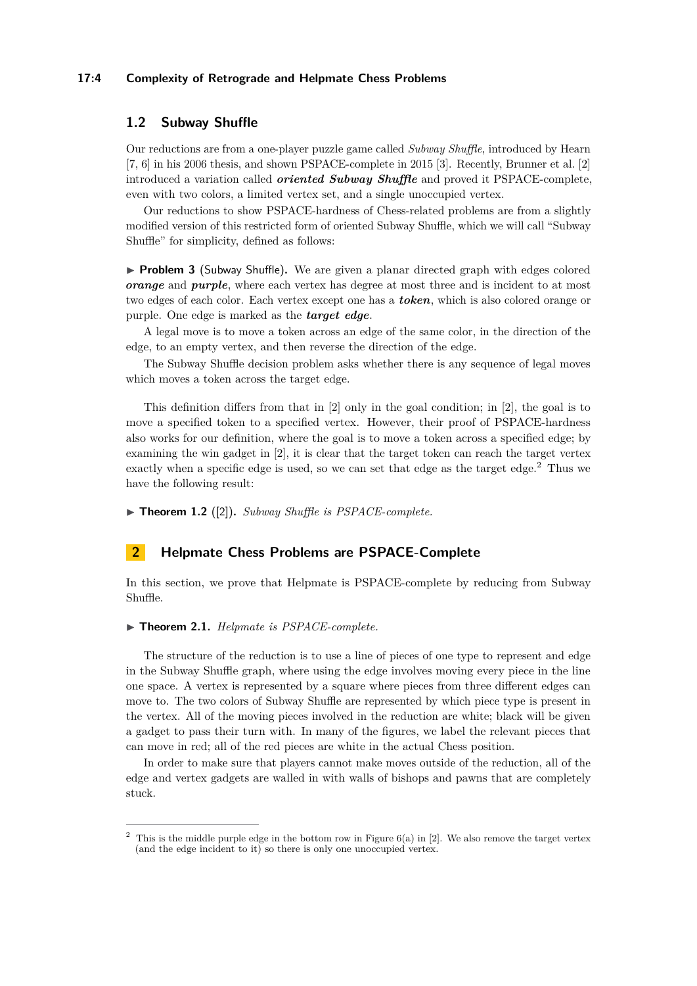#### **17:4 Complexity of Retrograde and Helpmate Chess Problems**

#### **1.2 Subway Shuffle**

Our reductions are from a one-player puzzle game called *Subway Shuffle*, introduced by Hearn [\[7,](#page-13-12) [6\]](#page-13-13) in his 2006 thesis, and shown PSPACE-complete in 2015 [\[3\]](#page-13-14). Recently, Brunner et al. [\[2\]](#page-13-15) introduced a variation called *oriented Subway Shuffle* and proved it PSPACE-complete, even with two colors, a limited vertex set, and a single unoccupied vertex.

Our reductions to show PSPACE-hardness of Chess-related problems are from a slightly modified version of this restricted form of oriented Subway Shuffle, which we will call "Subway Shuffle" for simplicity, defined as follows:

▶ **Problem 3** (Subway Shuffle). We are given a planar directed graph with edges colored *orange* and *purple*, where each vertex has degree at most three and is incident to at most two edges of each color. Each vertex except one has a *token*, which is also colored orange or purple. One edge is marked as the *target edge*.

A legal move is to move a token across an edge of the same color, in the direction of the edge, to an empty vertex, and then reverse the direction of the edge.

The Subway Shuffle decision problem asks whether there is any sequence of legal moves which moves a token across the target edge.

This definition differs from that in [\[2\]](#page-13-15) only in the goal condition; in [\[2\]](#page-13-15), the goal is to move a specified token to a specified vertex. However, their proof of PSPACE-hardness also works for our definition, where the goal is to move a token across a specified edge; by examining the win gadget in [\[2\]](#page-13-15), it is clear that the target token can reach the target vertex exactly when a specific edge is used, so we can set that edge as the target edge.[2](#page-3-1) Thus we have the following result:

 $\blacktriangleright$  **Theorem 1.2** ([\[2\]](#page-13-15)). *Subway Shuffle is PSPACE-complete.* 

#### <span id="page-3-0"></span>**2 Helpmate Chess Problems are PSPACE-Complete**

In this section, we prove that Helpmate is PSPACE-complete by reducing from Subway Shuffle.

#### ▶ **Theorem 2.1.** *Helpmate is PSPACE-complete.*

The structure of the reduction is to use a line of pieces of one type to represent and edge in the Subway Shuffle graph, where using the edge involves moving every piece in the line one space. A vertex is represented by a square where pieces from three different edges can move to. The two colors of Subway Shuffle are represented by which piece type is present in the vertex. All of the moving pieces involved in the reduction are white; black will be given a gadget to pass their turn with. In many of the figures, we label the relevant pieces that can move in red; all of the red pieces are white in the actual Chess position.

In order to make sure that players cannot make moves outside of the reduction, all of the edge and vertex gadgets are walled in with walls of bishops and pawns that are completely stuck.

<span id="page-3-1"></span><sup>&</sup>lt;sup>2</sup> This is the middle purple edge in the bottom row in Figure  $6(a)$  in [\[2\]](#page-13-15). We also remove the target vertex (and the edge incident to it) so there is only one unoccupied vertex.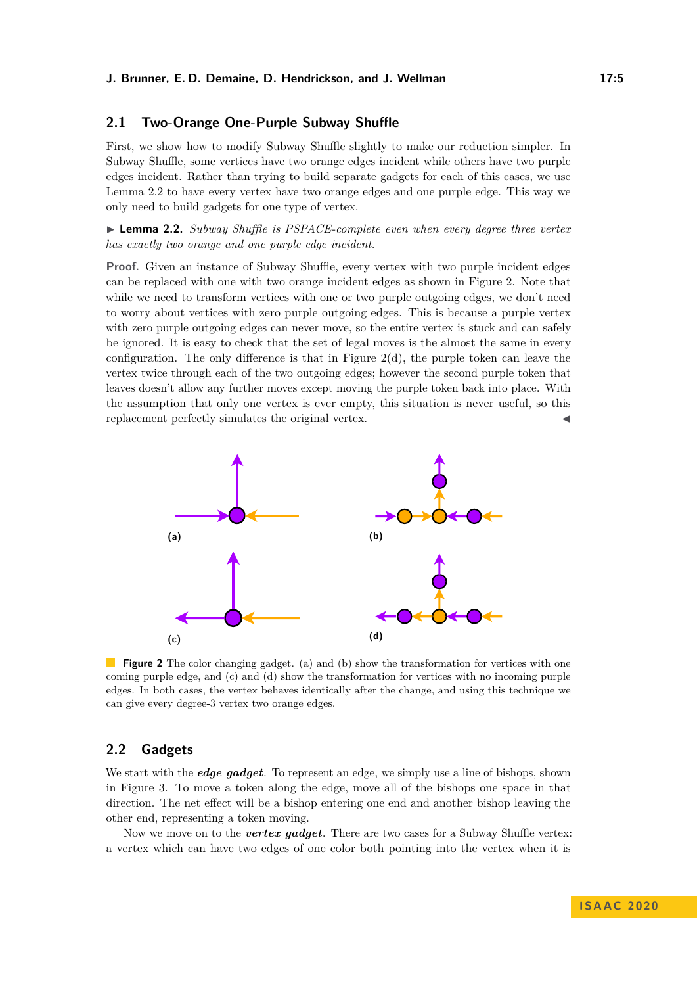#### **2.1 Two-Orange One-Purple Subway Shuffle**

First, we show how to modify Subway Shuffle slightly to make our reduction simpler. In Subway Shuffle, some vertices have two orange edges incident while others have two purple edges incident. Rather than trying to build separate gadgets for each of this cases, we use Lemma [2.2](#page-4-0) to have every vertex have two orange edges and one purple edge. This way we only need to build gadgets for one type of vertex.

<span id="page-4-0"></span>► **Lemma 2.2.** *Subway Shuffle is PSPACE-complete even when every degree three vertex has exactly two orange and one purple edge incident.*

Proof. Given an instance of Subway Shuffle, every vertex with two purple incident edges can be replaced with one with two orange incident edges as shown in Figure [2.](#page-4-1) Note that while we need to transform vertices with one or two purple outgoing edges, we don't need to worry about vertices with zero purple outgoing edges. This is because a purple vertex with zero purple outgoing edges can never move, so the entire vertex is stuck and can safely be ignored. It is easy to check that the set of legal moves is the almost the same in every configuration. The only difference is that in Figure  $2(d)$ , the purple token can leave the vertex twice through each of the two outgoing edges; however the second purple token that leaves doesn't allow any further moves except moving the purple token back into place. With the assumption that only one vertex is ever empty, this situation is never useful, so this replacement perfectly simulates the original vertex.

<span id="page-4-1"></span>

**Figure 2** The color changing gadget. (a) and (b) show the transformation for vertices with one coming purple edge, and (c) and (d) show the transformation for vertices with no incoming purple edges. In both cases, the vertex behaves identically after the change, and using this technique we can give every degree-3 vertex two orange edges.

#### **2.2 Gadgets**

We start with the *edge gadget*. To represent an edge, we simply use a line of bishops, shown in Figure [3.](#page-5-0) To move a token along the edge, move all of the bishops one space in that direction. The net effect will be a bishop entering one end and another bishop leaving the other end, representing a token moving.

Now we move on to the *vertex gadget*. There are two cases for a Subway Shuffle vertex: a vertex which can have two edges of one color both pointing into the vertex when it is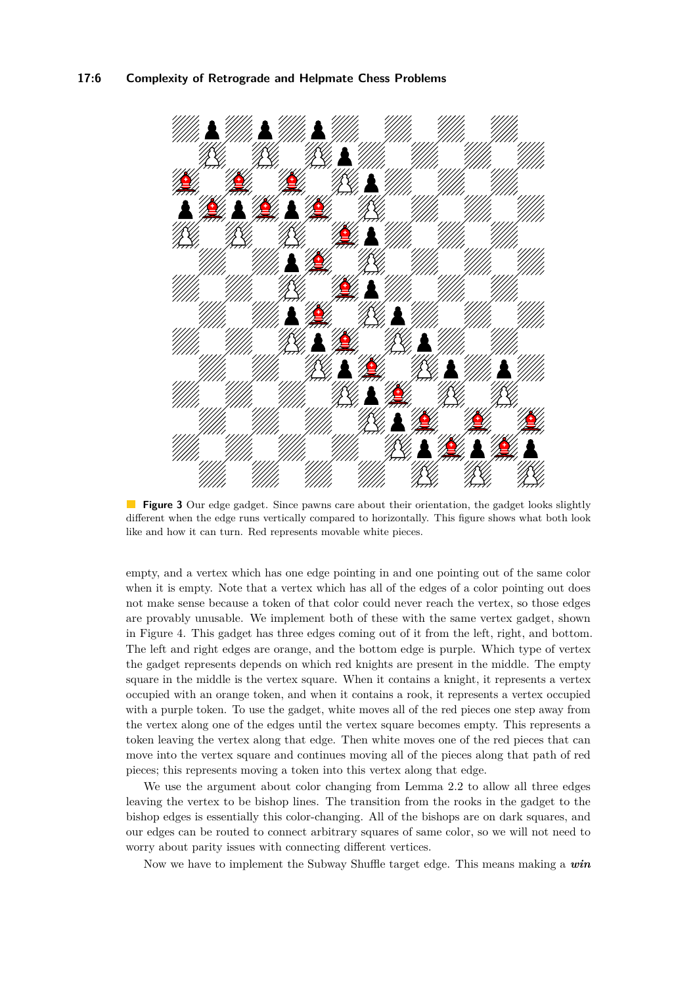#### **17:6 Complexity of Retrograde and Helpmate Chess Problems**

<span id="page-5-0"></span>

**Figure 3** Our edge gadget. Since pawns care about their orientation, the gadget looks slightly different when the edge runs vertically compared to horizontally. This figure shows what both look like and how it can turn. Red represents movable white pieces.

empty, and a vertex which has one edge pointing in and one pointing out of the same color when it is empty. Note that a vertex which has all of the edges of a color pointing out does not make sense because a token of that color could never reach the vertex, so those edges are provably unusable. We implement both of these with the same vertex gadget, shown in Figure [4.](#page-6-0) This gadget has three edges coming out of it from the left, right, and bottom. The left and right edges are orange, and the bottom edge is purple. Which type of vertex the gadget represents depends on which red knights are present in the middle. The empty square in the middle is the vertex square. When it contains a knight, it represents a vertex occupied with an orange token, and when it contains a rook, it represents a vertex occupied with a purple token. To use the gadget, white moves all of the red pieces one step away from the vertex along one of the edges until the vertex square becomes empty. This represents a token leaving the vertex along that edge. Then white moves one of the red pieces that can move into the vertex square and continues moving all of the pieces along that path of red pieces; this represents moving a token into this vertex along that edge.

We use the argument about color changing from Lemma [2.2](#page-4-0) to allow all three edges leaving the vertex to be bishop lines. The transition from the rooks in the gadget to the bishop edges is essentially this color-changing. All of the bishops are on dark squares, and our edges can be routed to connect arbitrary squares of same color, so we will not need to worry about parity issues with connecting different vertices.

Now we have to implement the Subway Shuffle target edge. This means making a *win*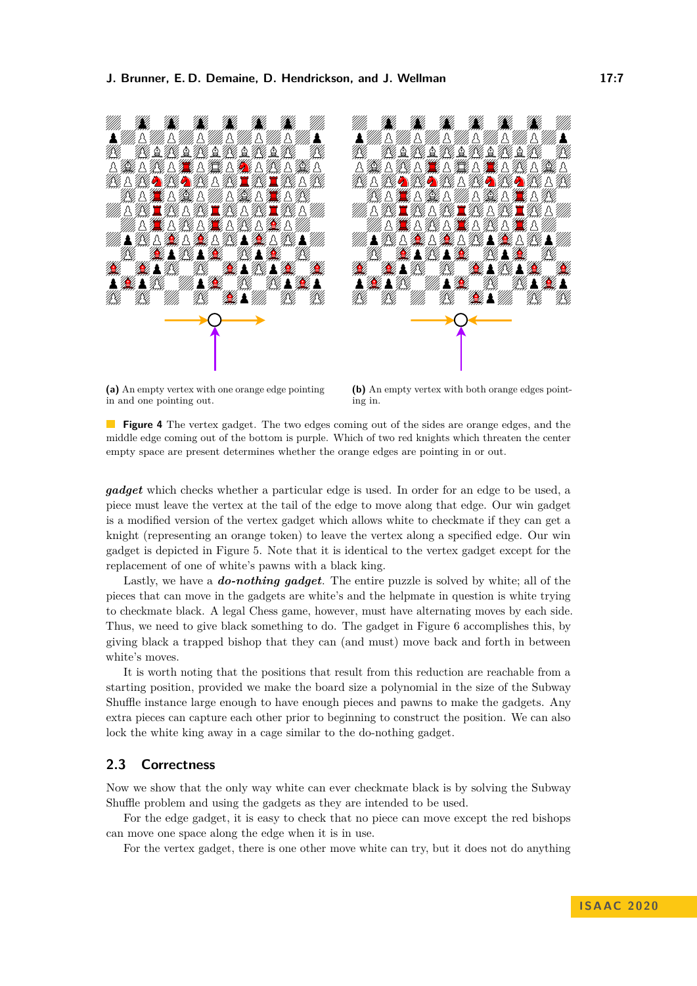<span id="page-6-0"></span>



**(a)** An empty vertex with one orange edge pointing in and one pointing out.

**(b)** An empty vertex with both orange edges pointing in.

**Figure 4** The vertex gadget. The two edges coming out of the sides are orange edges, and the middle edge coming out of the bottom is purple. Which of two red knights which threaten the center empty space are present determines whether the orange edges are pointing in or out.

*gadget* which checks whether a particular edge is used. In order for an edge to be used, a piece must leave the vertex at the tail of the edge to move along that edge. Our win gadget is a modified version of the vertex gadget which allows white to checkmate if they can get a knight (representing an orange token) to leave the vertex along a specified edge. Our win gadget is depicted in Figure [5.](#page-7-1) Note that it is identical to the vertex gadget except for the replacement of one of white's pawns with a black king.

Lastly, we have a *do-nothing gadget*. The entire puzzle is solved by white; all of the pieces that can move in the gadgets are white's and the helpmate in question is white trying to checkmate black. A legal Chess game, however, must have alternating moves by each side. Thus, we need to give black something to do. The gadget in Figure [6](#page-7-2) accomplishes this, by giving black a trapped bishop that they can (and must) move back and forth in between white's moves.

It is worth noting that the positions that result from this reduction are reachable from a starting position, provided we make the board size a polynomial in the size of the Subway Shuffle instance large enough to have enough pieces and pawns to make the gadgets. Any extra pieces can capture each other prior to beginning to construct the position. We can also lock the white king away in a cage similar to the do-nothing gadget.

# **2.3 Correctness**

Now we show that the only way white can ever checkmate black is by solving the Subway Shuffle problem and using the gadgets as they are intended to be used.

For the edge gadget, it is easy to check that no piece can move except the red bishops can move one space along the edge when it is in use.

For the vertex gadget, there is one other move white can try, but it does not do anything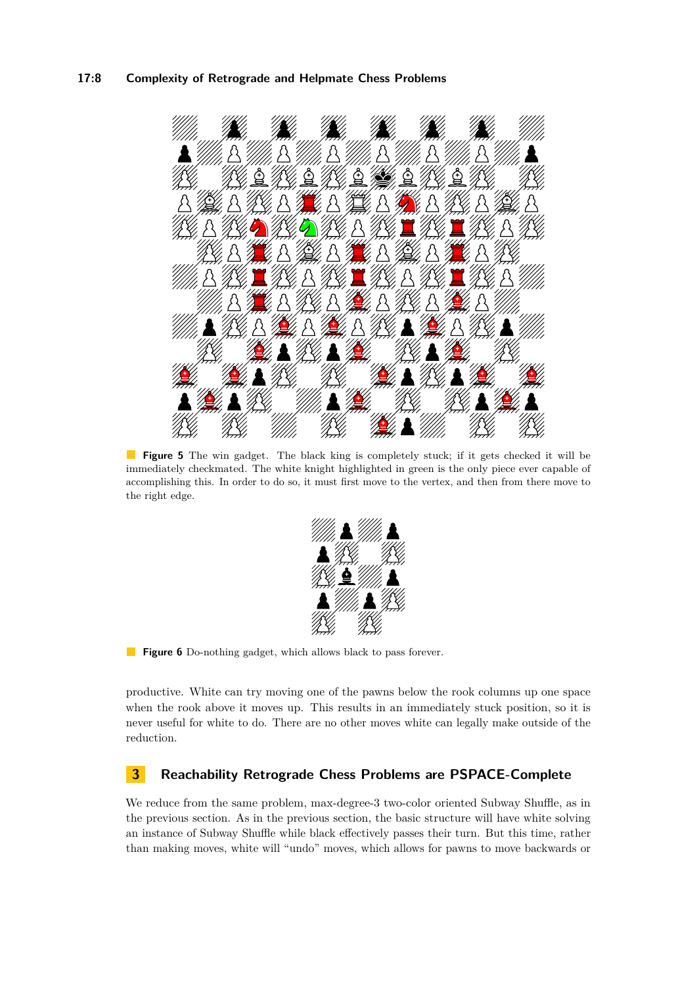#### **17:8 Complexity of Retrograde and Helpmate Chess Problems**

<span id="page-7-1"></span>

<span id="page-7-2"></span>**Figure 5** The win gadget. The black king is completely stuck; if it gets checked it will be immediately checkmated. The white knight highlighted in green is the only piece ever capable of accomplishing this. In order to do so, it must first move to the vertex, and then from there move to the right edge.



**Figure 6** Do-nothing gadget, which allows black to pass forever.

productive. White can try moving one of the pawns below the rook columns up one space when the rook above it moves up. This results in an immediately stuck position, so it is never useful for white to do. There are no other moves white can legally make outside of the reduction.

# <span id="page-7-0"></span>**3 Reachability Retrograde Chess Problems are PSPACE-Complete**

We reduce from the same problem, max-degree-3 two-color oriented Subway Shuffle, as in the previous section. As in the previous section, the basic structure will have white solving an instance of Subway Shuffle while black effectively passes their turn. But this time, rather than making moves, white will "undo" moves, which allows for pawns to move backwards or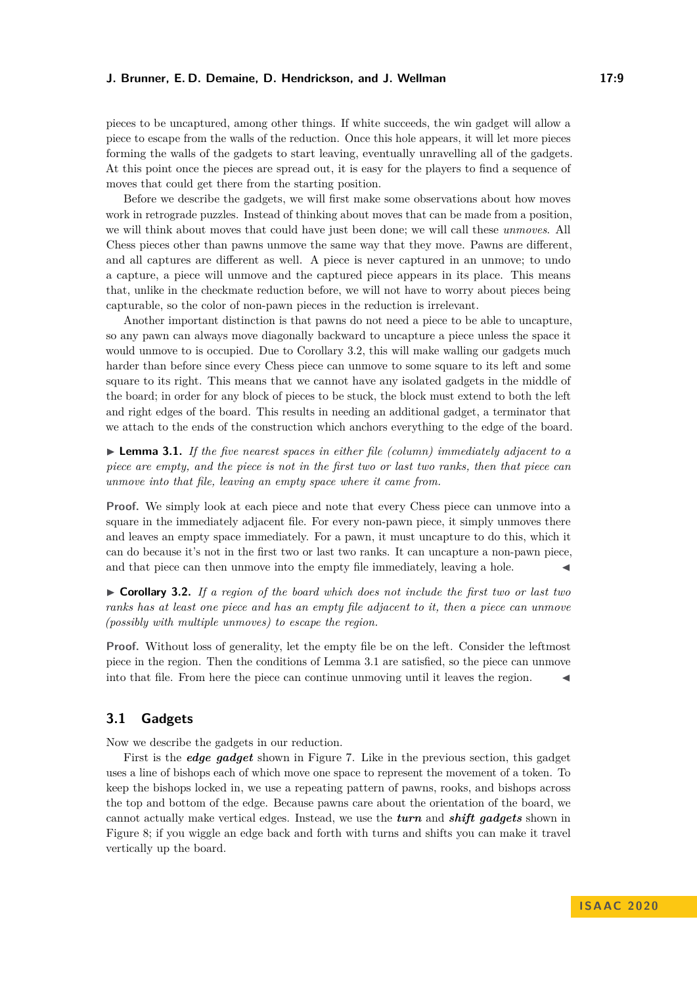#### **J. Brunner, E. D. Demaine, D. Hendrickson, and J. Wellman 17:9**

pieces to be uncaptured, among other things. If white succeeds, the win gadget will allow a piece to escape from the walls of the reduction. Once this hole appears, it will let more pieces forming the walls of the gadgets to start leaving, eventually unravelling all of the gadgets. At this point once the pieces are spread out, it is easy for the players to find a sequence of moves that could get there from the starting position.

Before we describe the gadgets, we will first make some observations about how moves work in retrograde puzzles. Instead of thinking about moves that can be made from a position, we will think about moves that could have just been done; we will call these *unmoves*. All Chess pieces other than pawns unmove the same way that they move. Pawns are different, and all captures are different as well. A piece is never captured in an unmove; to undo a capture, a piece will unmove and the captured piece appears in its place. This means that, unlike in the checkmate reduction before, we will not have to worry about pieces being capturable, so the color of non-pawn pieces in the reduction is irrelevant.

Another important distinction is that pawns do not need a piece to be able to uncapture, so any pawn can always move diagonally backward to uncapture a piece unless the space it would unmove to is occupied. Due to Corollary [3.2,](#page-8-0) this will make walling our gadgets much harder than before since every Chess piece can unmove to some square to its left and some square to its right. This means that we cannot have any isolated gadgets in the middle of the board; in order for any block of pieces to be stuck, the block must extend to both the left and right edges of the board. This results in needing an additional gadget, a terminator that we attach to the ends of the construction which anchors everything to the edge of the board.

<span id="page-8-1"></span>► Lemma 3.1. If the five nearest spaces in either file (column) immediately adjacent to a *piece are empty, and the piece is not in the first two or last two ranks, then that piece can unmove into that file, leaving an empty space where it came from.*

**Proof.** We simply look at each piece and note that every Chess piece can unmove into a square in the immediately adjacent file. For every non-pawn piece, it simply unmoves there and leaves an empty space immediately. For a pawn, it must uncapture to do this, which it can do because it's not in the first two or last two ranks. It can uncapture a non-pawn piece, and that piece can then unmove into the empty file immediately, leaving a hole.

<span id="page-8-0"></span>I **Corollary 3.2.** *If a region of the board which does not include the first two or last two ranks has at least one piece and has an empty file adjacent to it, then a piece can unmove (possibly with multiple unmoves) to escape the region.*

**Proof.** Without loss of generality, let the empty file be on the left. Consider the leftmost piece in the region. Then the conditions of Lemma [3.1](#page-8-1) are satisfied, so the piece can unmove into that file. From here the piece can continue unmoving until it leaves the region.

#### **3.1 Gadgets**

Now we describe the gadgets in our reduction.

First is the *edge gadget* shown in Figure [7.](#page-9-0) Like in the previous section, this gadget uses a line of bishops each of which move one space to represent the movement of a token. To keep the bishops locked in, we use a repeating pattern of pawns, rooks, and bishops across the top and bottom of the edge. Because pawns care about the orientation of the board, we cannot actually make vertical edges. Instead, we use the *turn* and *shift gadgets* shown in Figure [8;](#page-9-1) if you wiggle an edge back and forth with turns and shifts you can make it travel vertically up the board.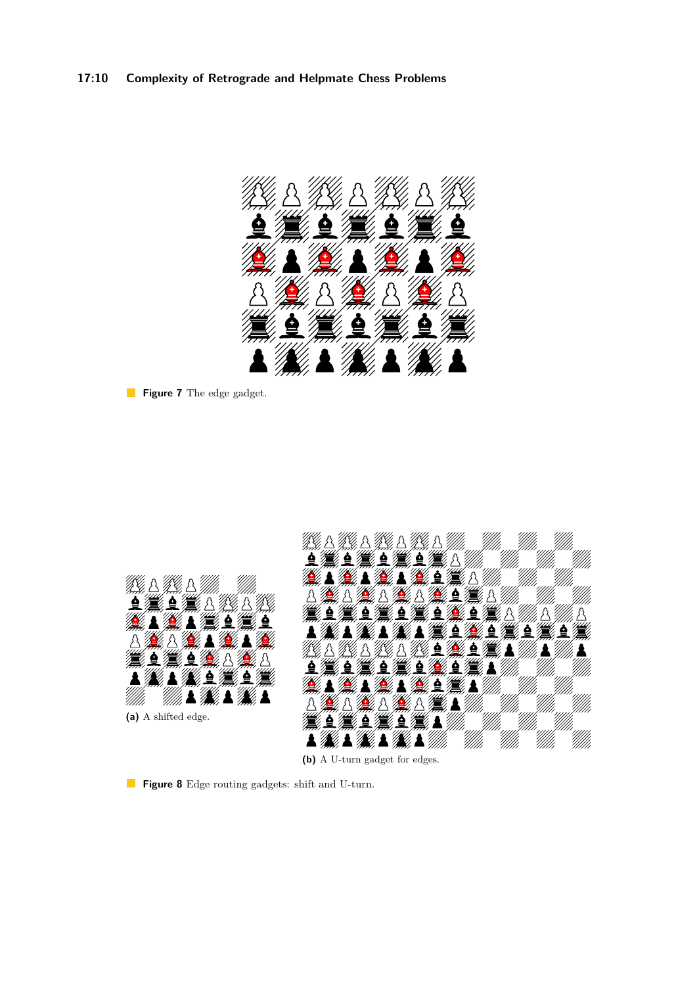# **17:10 Complexity of Retrograde and Helpmate Chess Problems**

<span id="page-9-0"></span>

**Figure 7** The edge gadget.

<span id="page-9-1"></span>

**(b)** A U-turn gadget for edges.

**Figure 8** Edge routing gadgets: shift and U-turn.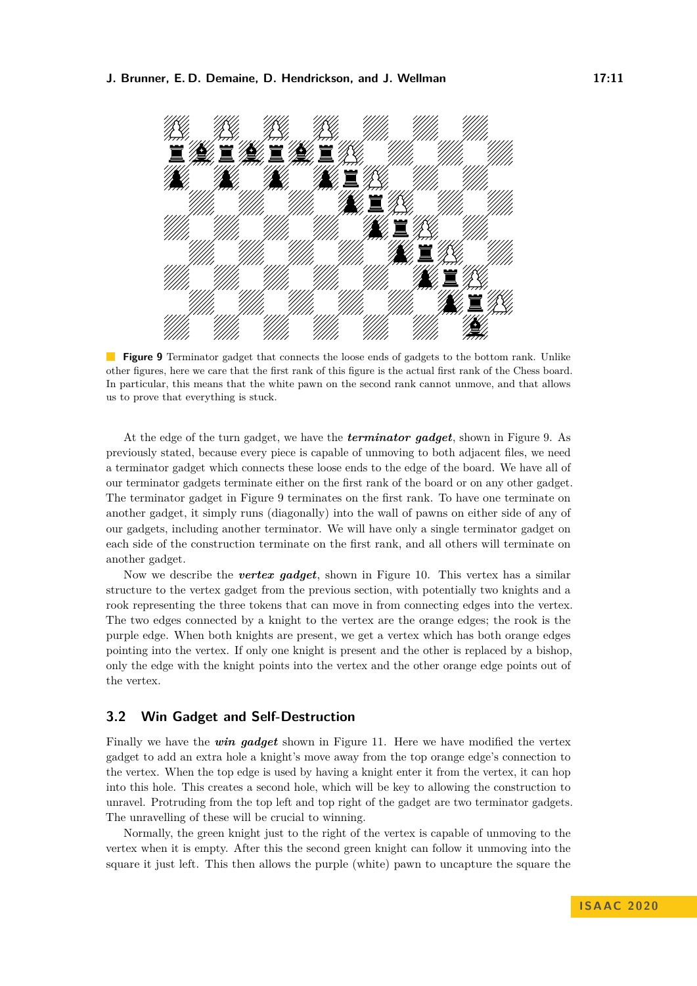#### <span id="page-10-0"></span>**J. Brunner, E. D. Demaine, D. Hendrickson, and J. Wellman 17:11**



**Figure 9** Terminator gadget that connects the loose ends of gadgets to the bottom rank. Unlike other figures, here we care that the first rank of this figure is the actual first rank of the Chess board. In particular, this means that the white pawn on the second rank cannot unmove, and that allows us to prove that everything is stuck.

At the edge of the turn gadget, we have the *terminator gadget*, shown in Figure [9.](#page-10-0) As previously stated, because every piece is capable of unmoving to both adjacent files, we need a terminator gadget which connects these loose ends to the edge of the board. We have all of our terminator gadgets terminate either on the first rank of the board or on any other gadget. The terminator gadget in Figure [9](#page-10-0) terminates on the first rank. To have one terminate on another gadget, it simply runs (diagonally) into the wall of pawns on either side of any of our gadgets, including another terminator. We will have only a single terminator gadget on each side of the construction terminate on the first rank, and all others will terminate on another gadget.

Now we describe the *vertex gadget*, shown in Figure [10.](#page-11-0) This vertex has a similar structure to the vertex gadget from the previous section, with potentially two knights and a rook representing the three tokens that can move in from connecting edges into the vertex. The two edges connected by a knight to the vertex are the orange edges; the rook is the purple edge. When both knights are present, we get a vertex which has both orange edges pointing into the vertex. If only one knight is present and the other is replaced by a bishop, only the edge with the knight points into the vertex and the other orange edge points out of the vertex.

### **3.2 Win Gadget and Self-Destruction**

Finally we have the *win gadget* shown in Figure [11.](#page-11-1) Here we have modified the vertex gadget to add an extra hole a knight's move away from the top orange edge's connection to the vertex. When the top edge is used by having a knight enter it from the vertex, it can hop into this hole. This creates a second hole, which will be key to allowing the construction to unravel. Protruding from the top left and top right of the gadget are two terminator gadgets. The unravelling of these will be crucial to winning.

Normally, the green knight just to the right of the vertex is capable of unmoving to the vertex when it is empty. After this the second green knight can follow it unmoving into the square it just left. This then allows the purple (white) pawn to uncapture the square the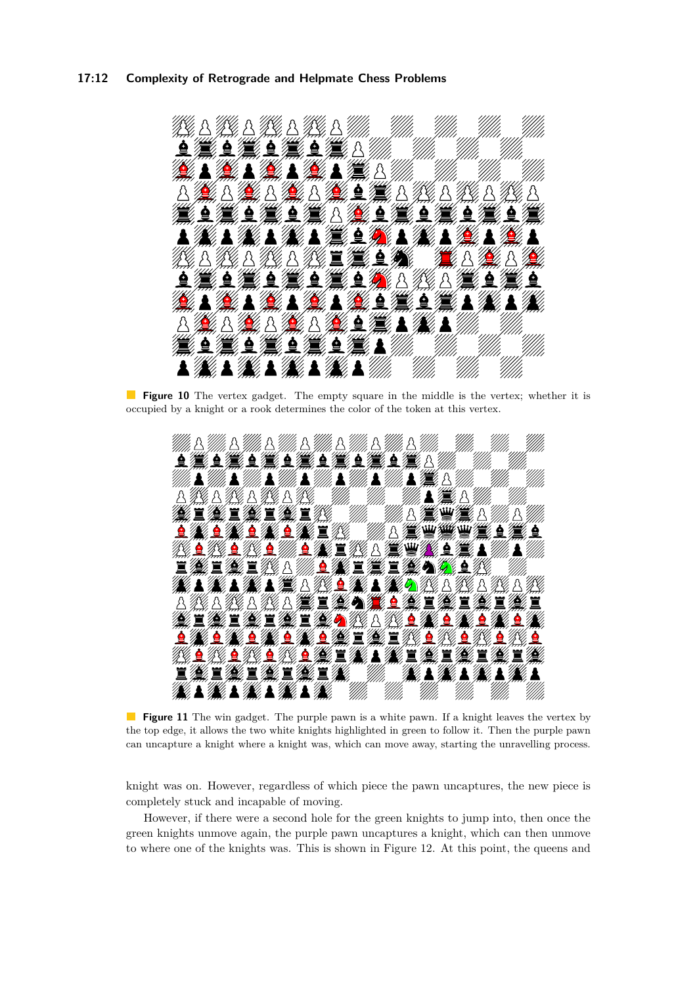#### **17:12 Complexity of Retrograde and Helpmate Chess Problems**

<span id="page-11-0"></span>

**Figure 10** The vertex gadget. The empty square in the middle is the vertex; whether it is occupied by a knight or a rook determines the color of the token at this vertex.

<span id="page-11-1"></span>

**Figure 11** The win gadget. The purple pawn is a white pawn. If a knight leaves the vertex by the top edge, it allows the two white knights highlighted in green to follow it. Then the purple pawn can uncapture a knight where a knight was, which can move away, starting the unravelling process.

knight was on. However, regardless of which piece the pawn uncaptures, the new piece is completely stuck and incapable of moving.

However, if there were a second hole for the green knights to jump into, then once the green knights unmove again, the purple pawn uncaptures a knight, which can then unmove to where one of the knights was. This is shown in Figure [12.](#page-12-0) At this point, the queens and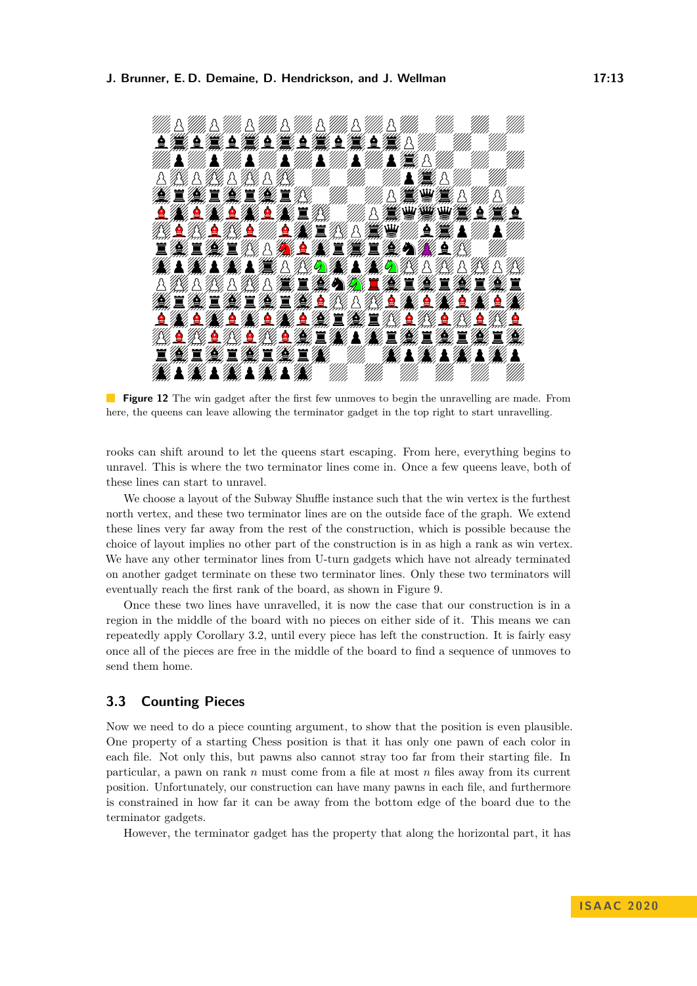<span id="page-12-0"></span>

**Figure 12** The win gadget after the first few unmoves to begin the unravelling are made. From here, the queens can leave allowing the terminator gadget in the top right to start unravelling.

rooks can shift around to let the queens start escaping. From here, everything begins to unravel. This is where the two terminator lines come in. Once a few queens leave, both of these lines can start to unravel.

We choose a layout of the Subway Shuffle instance such that the win vertex is the furthest north vertex, and these two terminator lines are on the outside face of the graph. We extend these lines very far away from the rest of the construction, which is possible because the choice of layout implies no other part of the construction is in as high a rank as win vertex. We have any other terminator lines from U-turn gadgets which have not already terminated on another gadget terminate on these two terminator lines. Only these two terminators will eventually reach the first rank of the board, as shown in Figure [9.](#page-10-0)

Once these two lines have unravelled, it is now the case that our construction is in a region in the middle of the board with no pieces on either side of it. This means we can repeatedly apply Corollary [3.2,](#page-8-0) until every piece has left the construction. It is fairly easy once all of the pieces are free in the middle of the board to find a sequence of unmoves to send them home.

### **3.3 Counting Pieces**

Now we need to do a piece counting argument, to show that the position is even plausible. One property of a starting Chess position is that it has only one pawn of each color in each file. Not only this, but pawns also cannot stray too far from their starting file. In particular, a pawn on rank *n* must come from a file at most *n* files away from its current position. Unfortunately, our construction can have many pawns in each file, and furthermore is constrained in how far it can be away from the bottom edge of the board due to the terminator gadgets.

However, the terminator gadget has the property that along the horizontal part, it has